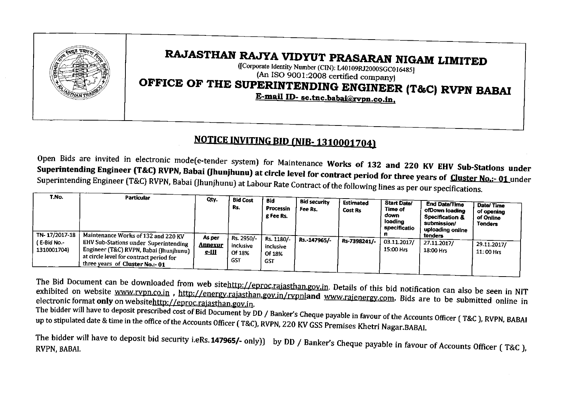

# RAJASTHAN RAJYA VIDYUT PRASARAN NIGAM LIMITED

([Corporate Identity Number (CIN): L40I09RJ2000SGCOI6485] (An ISO 9001:2008 certified company)

OFFICE OF THE SUPERINTENDING ENGINEER (T&C) RVPN BABAI

E-mail ID-se.tnc.babai@rvpn.co.in.

### NOTICE INVITING BID (NIB-1310001704)

Open Bids are invited in electronic mode(e-tender system) for Maintenance Works of 132 and 220 KV EHV Sub-Stations under Superintending Engineer (T&C) RVPN, Babai (Jhunjhunu) at circle level for contract period for three years of Cluster No.:- 01 under Superintending Engineer (T&C) RVPN, Babai (Jhunjhunu) at Labour Rate Contract of the following lines as per our specifications,

| T.No.                                      | <b>Particular</b>                                                                                                                                                                                                          | Qty.                                     | <b>Bid Cost</b><br>Rs.                          | Bid<br><b>Processin</b><br>g Fee Rs.            | <b>Bid security</b><br>Fee Rs. | <b>Estimated</b><br><b>Cost Rs</b> | <b>Start Date/</b><br>Time of<br>down<br>loading<br>specificatio | <b>End Date/Time</b><br>ofDown Ioading<br>Specification &<br>submission/<br>uploading online | Date/Time<br>of opening<br>of Online<br>Tenders |
|--------------------------------------------|----------------------------------------------------------------------------------------------------------------------------------------------------------------------------------------------------------------------------|------------------------------------------|-------------------------------------------------|-------------------------------------------------|--------------------------------|------------------------------------|------------------------------------------------------------------|----------------------------------------------------------------------------------------------|-------------------------------------------------|
| TN-17/2017-18<br>E-Bid No -<br>1310001704) | Maintenance Works of 132 and 220 KV<br><b>EHV Sub-Stations under Superintending</b><br>, Engineer (T&C) RVPN, Babai (Jhunjhunu) <sup>1</sup><br>at circle level for contract period for<br>three years of Cluster No.:- 01 | As per<br><b>Annexur</b><br><u>e-III</u> | Rs. 2950/-<br>inclusive<br>Of 18%<br><b>GST</b> | Rs. 1180/-<br>inclusive<br>Of 18%<br><b>GST</b> | Rs.-147965/-                   | Rs-7398241/-                       | 03.11.2017/<br>15:00 Hrs                                         | tenders<br>27.11.2017/<br>18:00 Hrs                                                          | 29.11.2017/<br>11:00 Hrs                        |

The Bid Document can be downloaded from web sitehttp://eproc.rajasthan.gov.in. Details of this bid notification can also be seen in NIT exhibited on website www.rvpn.co.in, http://energy.rajasthan.gov.in/rvpnland www.rajenergy.com. Bids are to be submitted online in electronic format only on websitehttp://eproc.rajasthan.gov.in.

The bidder will have to deposit prescribed cost of Bid Document by DD / Banker's Cheque payable in favour of the Accounts Officer (T&C), RVPN, BABAI up to stipulated date & time in the office of the Accounts Officer (T&C), RVPN, 220 KV GSS Premises Khetri Nagar.BABAI.

The bidder will have to deposit bid security i.eRs.147965/- only)) by DD / Banker's Cheque payable in favour of Accounts Officer ( T&C), RVPN, BABAI.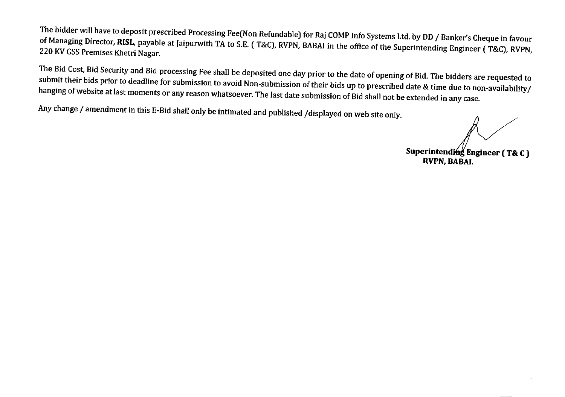The bidder will have to deposit prescribed Processing Fee(Non Refundable) for Raj COMPInfo Systems Ltd. by DD/ Banker's Cheque in favour of Managing Director, RISL, payable at Jaipurwith TA to S.E. (T&C), RVPN, BABAI in the office of the Superintending Engineer (T&C), RVPN, 220 KV GSS Premises Khetri Nagar.

The Bid Cost, Bid Security and Bid processing Fee shall be deposited one day prior to the date of opening of Bid. The bidders are requested to submit their bids prior to deadline for submission to avoid Non-submission of their bids up to prescribed date & time due to non-availability/ hanging of website at last moments or any reason whatsoever. The last date submission of Bid shall not be extended in any case.

Any change / amendment in this E-Bid shall only be intimated and published /displayed on web site only.

**Superintending Engineer** (T& C)

**RVPN, BABAI.**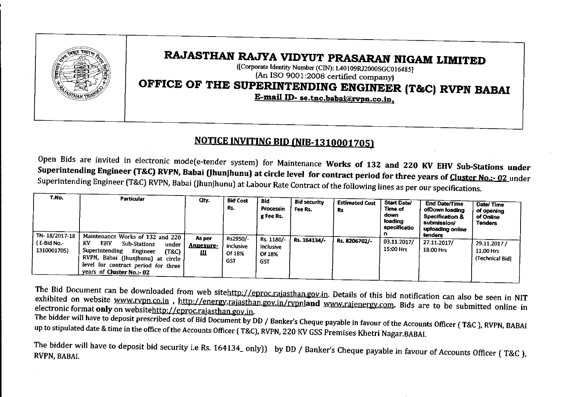

## RAJASTHAN RAJYA VIDYUT PRASARAN NIGAM LIMITED

([Corporate Identity Number (CIN): L40109RJ2000SGCOI6485] (An ISO 9001:2008 certified company)

# OFFICE OF THE SUPERINTENDING ENGINEER (T&C) RVPN BABAI

E-mail ID-se.tnc.babai@rvpn.co.in.

#### NOTICE INVITING BID (NIB-1310001705)

Open Bids are invited in electronic mode(e-tender system) for Maintenance Works of 132 and 220 KV EHV Sub-Stations under Superintending Engineer (T&C) RVPN, Babai (Jhunjhunu) at circle level for contract period for three years of Cluster No.:- 02 under Superintending Engineer (T&C) RVPN, Babai (Jhunjhunu) at Labour Rate Contract of the following lines as per our specifications.

| T.No.<br>TN-18/2017-18      | <b>Particular</b><br>Maintenance Works of 132 and 220 '                                                                                                                                              | Qty.                     | <b>Bid Cost</b><br>Rs.                        | <b>Bid</b><br>Processin<br>g Fee Rs.            | <b>Bid security</b><br>Fee Rs. | <b>Estimated Cost</b><br>Rs | <b>Start Date/</b><br>Time of<br>down<br>loading<br>specificatio<br>п. | <b>End Date/Time</b><br>ofDown Ioading<br><b>Specification &amp;</b><br>submission/<br>uploading online<br>tenders | Date/Time<br>of opening<br>of Online<br><b>Tenders</b> |
|-----------------------------|------------------------------------------------------------------------------------------------------------------------------------------------------------------------------------------------------|--------------------------|-----------------------------------------------|-------------------------------------------------|--------------------------------|-----------------------------|------------------------------------------------------------------------|--------------------------------------------------------------------------------------------------------------------|--------------------------------------------------------|
| ( E-Bid No -<br>1310001705) | ΚV<br><b>EHV</b><br><b>Sub-Stations</b><br>under<br>Superintending<br>Engineer<br>(T&C)<br>RVPN, Babai (Jhunjhunu) at circle !<br>level for contract period for three '<br>years of Cluster No.:- 02 | As per<br>Annexure-<br>Ш | Rs2950/-<br>inclusive<br>Of 18%<br><b>GST</b> | Rs. 1180/-<br>inclusive<br>Of 18%<br><b>GST</b> | Rs. 164134/-                   | Rs. 8206702/-               | 03.11.2017/<br>15:00 Hrs                                               | 27.11.2017/<br>18:00 Hrs                                                                                           | 29.11.2017/<br>11.00 Hrs<br>(Technical Bid)            |

The Bid Document can be downloaded from web sitehttp://eproc.rajasthan.gov.in. Details of this bid notification can also be seen in NIT exhibited on website www.rvpn.co.in, http://energy.rajasthan.gov.in/rvpnland www.rajenergy.com. Bids are to be submitted online in electronic format only on websitehttp://eproc.rajasthan.gov.in.

The bidder will have to deposit prescribed cost of Bid Document by DD / Banker's Cheque payable in favour of the Accounts Officer (T&C), RVPN, BABAI up to stipulated date & time in the office of the Accounts Officer (T&C), RVPN, 220 KV GSS Premises Khetri Nagar.BABAI.

The bidder will have to deposit bid security i.e Rs. 164134\_ only)) by DD/ Banker's Cheque payable in favour of Accounts Officer ( T&C), RVPN, BABAI.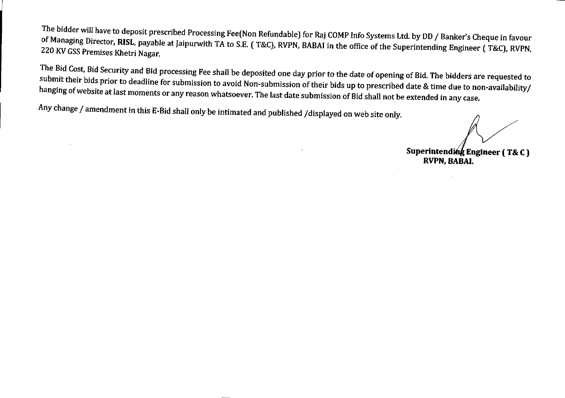The bidder will have to deposit prescribed Processing Fee(Non Refundable) for Raj COMPInfo Systems Ltd. by DD/ Banker's Cheque in favour of Managing Director, RISL, payable at Jaipurwith TA to S.E. (T&C), RVPN, BABAI in the office of the Superintending Engineer (T&C), RVPN, 220 KV GSS Premises Khetri Nagar.

The Bid Cost, Bid Security and Bid processing Fee shall be deposited one day prior to the date of opening of Bid. The bidders are requested to submit their bids prior to deadline for submission to avoid Non-submission of their bids up to prescribed date & time due to non-availability/ hanging of website at last moments or any reason whatsoever. The last date submission of Bid shall not be extended in any case.

Any change / amendment in this E-Bid shall only be intimated and published /displayed on web site only.

**Superintend" Engineer (T& C)**

**RVPN, BABAI.**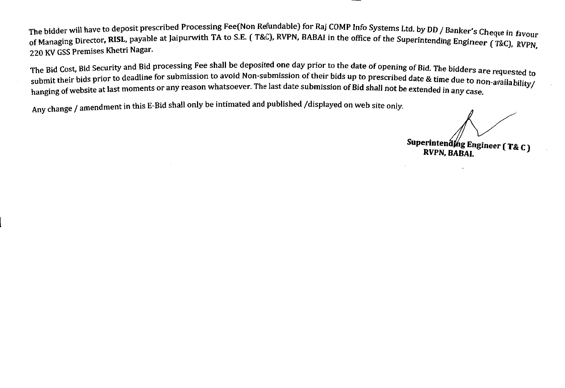The bidder will have to deposit prescribed Processing Fee(Non Refundable) for Raj COMP Info Systems Ltd. by DD / Banker's Cheque in favour of Managing Director, RISL, payable at Jaipurwith TA to S.E. (T&C), RVPN, BABAI in the office of the Superintending Engineer (To C),  $\frac{1}{2}$ 22 Managing En Cornelius Entertainment of the upper contains the upper contains anguleer (T&C), RVPN,

The Bid Cost, Bid Security and Bid processing Fee shall be deposited one day prior to the date of opening of Bid. The bidd The Bid Cost, bid Security and Submission to avoid Non-submission of their bids up to prescribed date & time due to non-availability/<br>submit their bids prior to deadline for submission to avoid Non-submission of their bids hanging of website at last moments or any reason whatsoever. The last date submission of Bid shall not be extended in any case.

Any change / amendment in this E-Bid shall only be intimated and published /displayed on web site only.

Superintendthg Engineer (T&C)

RVPN, BABAI.